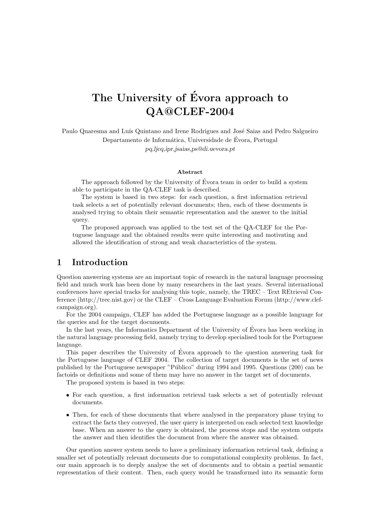# The University of Évora approach to QA@CLEF-2004

Paulo Quaresma and Luís Quintano and Irene Rodrigues and José Saias and Pedro Salgueiro Departamento de Informática, Universidade de Évora, Portugal pq,ljcq,ipr,jsaias,ps@di.uevora.pt

#### Abstract

The approach followed by the University of Évora team in order to build a system able to participate in the QA-CLEF task is described.

The system is based in two steps: for each question, a first information retrieval task selects a set of potentially relevant documents; then, each of these documents is analysed trying to obtain their semantic representation and the answer to the initial query.

The proposed approach was applied to the test set of the QA-CLEF for the Portuguese language and the obtained results were quite interesting and motivating and allowed the identification of strong and weak characteristics of the system.

# 1 Introduction

Question answering systems are an important topic of research in the natural language processing field and much work has been done by many researchers in the last years. Several international conferences have special tracks for analysing this topic, namely, the TREC – Text REtrieval Conference (http://trec.nist.gov) or the CLEF – Cross Language Evaluation Forum (http://www.clefcampaign.org).

For the 2004 campaign, CLEF has added the Portuguese language as a possible language for the queries and for the target documents.

In the last years, the Informatics Department of the University of Évora has been working in the natural language processing field, namely trying to develop specialised tools for the Portuguese language.

This paper describes the University of Évora approach to the question answering task for the Portuguese language of CLEF 2004. The collection of target documents is the set of news published by the Portuguese newspaper "Público" during 1994 and 1995. Questions (200) can be factoids or definitions and some of them may have no answer in the target set of documents.

The proposed system is based in two steps:

- For each question, a first information retrieval task selects a set of potentially relevant documents.
- Then, for each of these documents that where analysed in the preparatory phase trying to extract the facts they conveyed, the user query is interpreted on each selected text knowledge base. When an answer to the query is obtained, the process stops and the system outputs the answer and then identifies the document from where the answer was obtained.

Our question answer system needs to have a preliminary information retrieval task, defining a smaller set of potentially relevant documents due to computational complexity problems. In fact, our main approach is to deeply analyse the set of documents and to obtain a partial semantic representation of their content. Then, each query would be transformed into its semantic form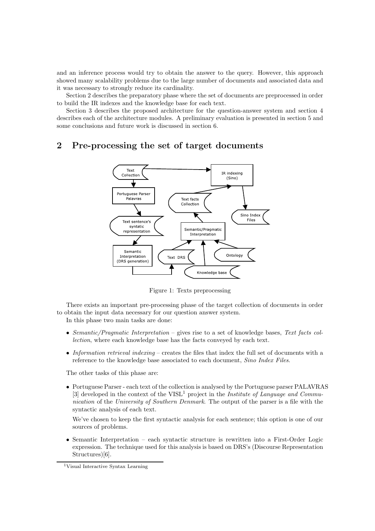and an inference process would try to obtain the answer to the query. However, this approach showed many scalability problems due to the large number of documents and associated data and it was necessary to strongly reduce its cardinality.

Section 2 describes the preparatory phase where the set of documents are preprocessed in order to build the IR indexes and the knowledge base for each text.

Section 3 describes the proposed architecture for the question-answer system and section 4 describes each of the architecture modules. A preliminary evaluation is presented in section 5 and some conclusions and future work is discussed in section 6.

# 2 Pre-processing the set of target documents



Figure 1: Texts preprocessing

There exists an important pre-processing phase of the target collection of documents in order to obtain the input data necessary for our question answer system.

In this phase two main tasks are done:

- Semantic/Pragmatic Interpretation gives rise to a set of knowledge bases, Text facts collection, where each knowledge base has the facts conveyed by each text.
- Information retrieval indexing creates the files that index the full set of documents with a reference to the knowledge base associated to each document, Sino Index Files.

The other tasks of this phase are:

• Portuguese Parser- each text of the collection is analysed by the Portuguese parser PALAVRAS [3] developed in the context of the  $VISL<sup>1</sup>$  project in the *Institute of Language and Commu*nication of the University of Southern Denmark. The output of the parser is a file with the syntactic analysis of each text.

We've chosen to keep the first syntactic analysis for each sentence; this option is one of our sources of problems.

• Semantic Interpretation – each syntactic structure is rewritten into a First-Order Logic expression. The technique used for this analysis is based on DRS's (Discourse Representation Structures)[6].

<sup>1</sup>Visual Interactive Syntax Learning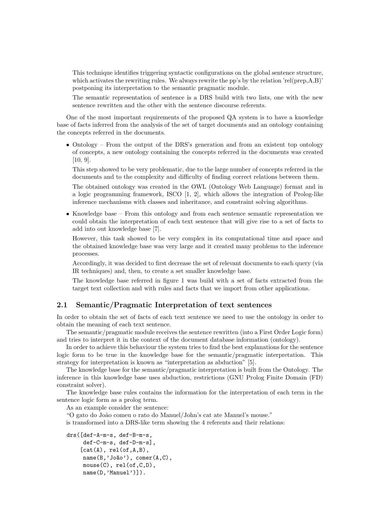This technique identifies triggering syntactic configurations on the global sentence structure, which activates the rewriting rules. We always rewrite the pp's by the relation 'rel(prep, $A,B$ )' postponing its interpretation to the semantic pragmatic module.

The semantic representation of sentence is a DRS build with two lists, one with the new sentence rewritten and the other with the sentence discourse referents.

One of the most important requirements of the proposed QA system is to have a knowledge base of facts inferred from the analysis of the set of target documents and an ontology containing the concepts referred in the documents.

• Ontology – From the output of the DRS's generation and from an existent top ontology of concepts, a new ontology containing the concepts referred in the documents was created [10, 9].

This step showed to be very problematic, due to the large number of concepts referred in the documents and to the complexity and difficulty of finding correct relations between them.

The obtained ontology was created in the OWL (Ontology Web Language) format and in a logic programming framework, ISCO [1, 2], which allows the integration of Prolog-like inference mechanisms with classes and inheritance, and constraint solving algorithms.

• Knowledge base – From this ontology and from each sentence semantic representation we could obtain the interpretation of each text sentence that will give rise to a set of facts to add into out knowledge base [7].

However, this task showed to be very complex in its computational time and space and the obtained knowledge base was very large and it created many problems to the inference processes.

Accordingly, it was decided to first decrease the set of relevant documents to each query (via IR techniques) and, then, to create a set smaller knowledge base.

The knowledge base referred in figure 1 was build with a set of facts extracted from the target text collection and with rules and facts that we import from other applications.

#### 2.1 Semantic/Pragmatic Interpretation of text sentences

In order to obtain the set of facts of each text sentence we need to use the ontology in order to obtain the meaning of each text sentence.

The semantic/pragmatic module receives the sentence rewritten (into a First Order Logic form) and tries to interpret it in the context of the document database information (ontology).

In order to achieve this behaviour the system tries to find the best explanations for the sentence logic form to be true in the knowledge base for the semantic/pragmatic interpretation. This strategy for interpretation is known as "interpretation as abduction" [5].

The knowledge base for the semantic/pragmatic interpretation is built from the Ontology. The inference in this knowledge base uses abduction, restrictions (GNU Prolog Finite Domain (FD) constraint solver).

The knowledge base rules contains the information for the interpretation of each term in the sentence logic form as a prolog term.

As an example consider the sentence:

"O gato do Jo˜ao comeu o rato do Manuel/John's cat ate Manuel's mouse."

is transformed into a DRS-like term showing the 4 referents and their relations:

```
drs([def-A-m-s, def-B-m-s,
     def-C-m-s, def-D-m-s],
    [cat(A), rel(of,A,B),name(B,'João'), comer(A,C),
     mouse(C), rel(of,C,D),
     name(D,'Manuel')]).
```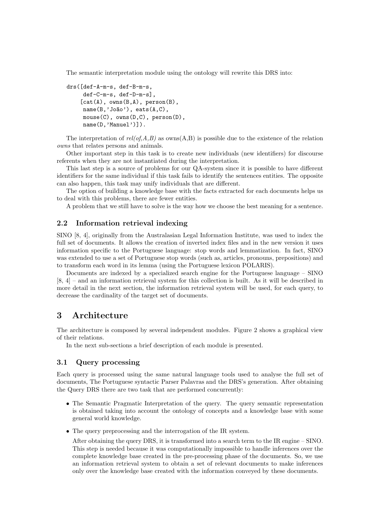The semantic interpretation module using the ontology will rewrite this DRS into:

```
drs([def-A-m-s, def-B-m-s,
     def-C-m-s, def-D-m-s],
    [cat(A), owns(B,A), person(B),name(B,'João')), eats(A,C),
     mouse(C), owns(D,C), person(D),
     name(D,'Manuel')]).
```
The interpretation of  $rel(of, A, B)$  as owns $(A, B)$  is possible due to the existence of the relation owns that relates persons and animals.

Other important step in this task is to create new individuals (new identifiers) for discourse referents when they are not instantiated during the interpretation.

This last step is a source of problems for our QA-system since it is possible to have different identifiers for the same individual if this task fails to identify the sentences entities. The opposite can also happen, this task may unify individuals that are different.

The option of building a knowledge base with the facts extracted for each documents helps us to deal with this problems, there are fewer entities.

A problem that we still have to solve is the way how we choose the best meaning for a sentence.

### 2.2 Information retrieval indexing

SINO [8, 4], originally from the Australasian Legal Information Institute, was used to index the full set of documents. It allows the creation of inverted index files and in the new version it uses information specific to the Portuguese language: stop words and lemmatization. In fact, SINO was extended to use a set of Portuguese stop words (such as, articles, pronouns, prepositions) and to transform each word in its lemma (using the Portuguese lexicon POLARIS).

Documents are indexed by a specialized search engine for the Portuguese language – SINO [8, 4] – and an information retrieval system for this collection is built. As it will be described in more detail in the next section, the information retrieval system will be used, for each query, to decrease the cardinality of the target set of documents.

# 3 Architecture

The architecture is composed by several independent modules. Figure 2 shows a graphical view of their relations.

In the next sub-sections a brief description of each module is presented.

#### 3.1 Query processing

Each query is processed using the same natural language tools used to analyse the full set of documents, The Portuguese syntactic Parser Palavras and the DRS's generation. After obtaining the Query DRS there are two task that are performed concurrently:

- The Semantic Pragmatic Interpretation of the query. The query semantic representation is obtained taking into account the ontology of concepts and a knowledge base with some general world knowledge.
- The query preprocessing and the interrogation of the IR system.

After obtaining the query DRS, it is transformed into a search term to the IR engine – SINO. This step is needed because it was computationally impossible to handle inferences over the complete knowledge base created in the pre-processing phase of the documents. So, we use an information retrieval system to obtain a set of relevant documents to make inferences only over the knowledge base created with the information conveyed by these documents.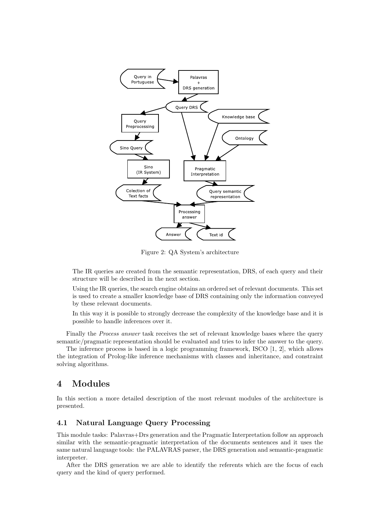

Figure 2: QA System's architecture

The IR queries are created from the semantic representation, DRS, of each query and their structure will be described in the next section.

Using the IR queries, the search engine obtains an ordered set of relevant documents. This set is used to create a smaller knowledge base of DRS containing only the information conveyed by these relevant documents.

In this way it is possible to strongly decrease the complexity of the knowledge base and it is possible to handle inferences over it.

Finally the *Process answer* task receives the set of relevant knowledge bases where the query semantic/pragmatic representation should be evaluated and tries to infer the answer to the query.

The inference process is based in a logic programming framework, ISCO [1, 2], which allows the integration of Prolog-like inference mechanisms with classes and inheritance, and constraint solving algorithms.

# 4 Modules

In this section a more detailed description of the most relevant modules of the architecture is presented.

### 4.1 Natural Language Query Processing

This module tasks: Palavras+Drs generation and the Pragmatic Interpretation follow an approach similar with the semantic-pragmatic interpretation of the documents sentences and it uses the same natural language tools: the PALAVRAS parser, the DRS generation and semantic-pragmatic interpreter.

After the DRS generation we are able to identify the referents which are the focus of each query and the kind of query performed.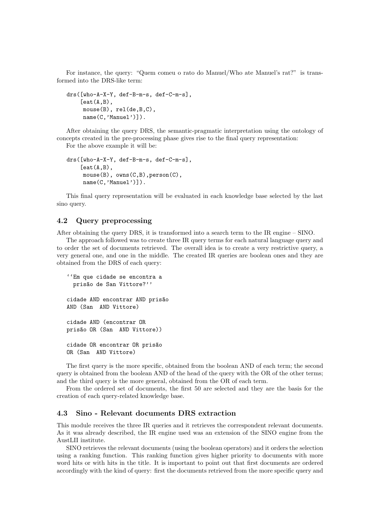For instance, the query: "Quem comeu o rato do Manuel/Who ate Manuel's rat?" is transformed into the DRS-like term:

```
drs([who-A-X-Y, def-B-m-s, def-C-m-s],
    [eat(A,B),mouse(B), rel(de,B,C),
     name(C,'Manuel')]).
```
After obtaining the query DRS, the semantic-pragmatic interpretation using the ontology of concepts created in the pre-processing phase gives rise to the final query representation: For the above example it will be:

```
drs([who-A-X-Y, def-B-m-s, def-C-m-s],
```

```
[eat(A,B),mouse(B), owns(C,B),person(C),
name(C,'Manuel')]).
```
This final query representation will be evaluated in each knowledge base selected by the last sino query.

### 4.2 Query preprocessing

After obtaining the query DRS, it is transformed into a search term to the IR engine – SINO.

The approach followed was to create three IR query terms for each natural language query and to order the set of documents retrieved. The overall idea is to create a very restrictive query, a very general one, and one in the middle. The created IR queries are boolean ones and they are obtained from the DRS of each query:

```
''Em que cidade se encontra a
 prisão de San Vittore?''
cidade AND encontrar AND prisão
AND (San AND Vittore)
cidade AND (encontrar OR
prisão OR (San AND Vittore))
cidade OR encontrar OR prisão
OR (San AND Vittore)
```
The first query is the more specific, obtained from the boolean AND of each term; the second query is obtained from the boolean AND of the head of the query with the OR of the other terms; and the third query is the more general, obtained from the OR of each term.

From the ordered set of documents, the first 50 are selected and they are the basis for the creation of each query-related knowledge base.

### 4.3 Sino - Relevant documents DRS extraction

This module receives the three IR queries and it retrieves the correspondent relevant documents. As it was already described, the IR engine used was an extension of the SINO engine from the AustLII institute.

SINO retrieves the relevant documents (using the boolean operators) and it orders the selection using a ranking function. This ranking function gives higher priority to documents with more word hits or with hits in the title. It is important to point out that first documents are ordered accordingly with the kind of query: first the documents retrieved from the more specific query and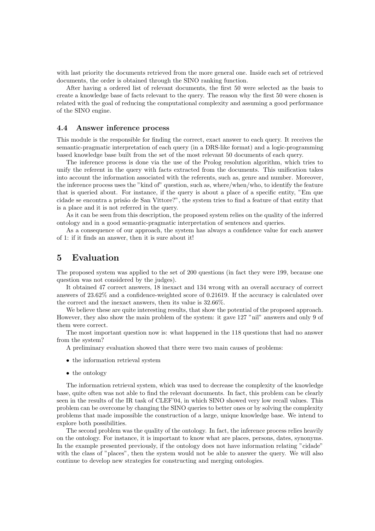with last priority the documents retrieved from the more general one. Inside each set of retrieved documents, the order is obtained through the SINO ranking function.

After having a ordered list of relevant documents, the first 50 were selected as the basis to create a knowledge base of facts relevant to the query. The reason why the first 50 were chosen is related with the goal of reducing the computational complexity and assuming a good performance of the SINO engine.

#### 4.4 Answer inference process

This module is the responsible for finding the correct, exact answer to each query. It receives the semantic-pragmatic interpretation of each query (in a DRS-like format) and a logic-programming based knowledge base built from the set of the most relevant 50 documents of each query.

The inference process is done via the use of the Prolog resolution algorithm, which tries to unify the referent in the query with facts extracted from the documents. This unification takes into account the information associated with the referents, such as, genre and number. Moreover, the inference process uses the "kind of" question, such as, where/when/who, to identify the feature that is queried about. For instance, if the query is about a place of a specific entity, "Em que cidade se encontra a prisão de San Vittore?", the system tries to find a feature of that entity that is a place and it is not referred in the query.

As it can be seen from this description, the proposed system relies on the quality of the inferred ontology and in a good semantic-pragmatic interpretation of sentences and queries.

As a consequence of our approach, the system has always a confidence value for each answer of 1: if it finds an answer, then it is sure about it!

## 5 Evaluation

The proposed system was applied to the set of 200 questions (in fact they were 199, because one question was not considered by the judges).

It obtained 47 correct answers, 18 inexact and 134 wrong with an overall accuracy of correct answers of 23.62% and a confidence-weighted score of 0.21619. If the accuracy is calculated over the correct and the inexact answers, then its value is 32.66%.

We believe these are quite interesting results, that show the potential of the proposed approach. However, they also show the main problem of the system: it gave 127 "nil" answers and only 9 of them were correct.

The most important question now is: what happened in the 118 questions that had no answer from the system?

- A preliminary evaluation showed that there were two main causes of problems:
- the information retrieval system
- the ontology

The information retrieval system, which was used to decrease the complexity of the knowledge base, quite often was not able to find the relevant documents. In fact, this problem can be clearly seen in the results of the IR task of CLEF'04, in which SINO showed very low recall values. This problem can be overcome by changing the SINO queries to better ones or by solving the complexity problems that made impossible the construction of a large, unique knowledge base. We intend to explore both possibilities.

The second problem was the quality of the ontology. In fact, the inference process relies heavily on the ontology. For instance, it is important to know what are places, persons, dates, synonyms. In the example presented previously, if the ontology does not have information relating "cidade" with the class of "places", then the system would not be able to answer the query. We will also continue to develop new strategies for constructing and merging ontologies.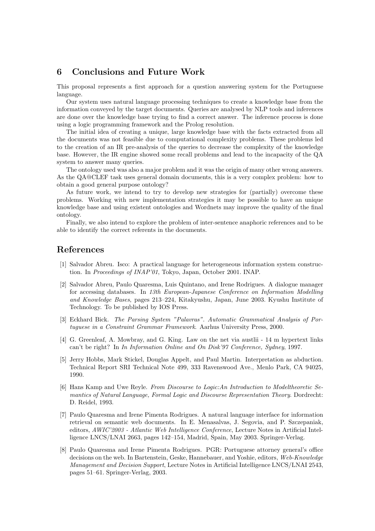# 6 Conclusions and Future Work

This proposal represents a first approach for a question answering system for the Portuguese language.

Our system uses natural language processing techniques to create a knowledge base from the information conveyed by the target documents. Queries are analysed by NLP tools and inferences are done over the knowledge base trying to find a correct answer. The inference process is done using a logic programming framework and the Prolog resolution.

The initial idea of creating a unique, large knowledge base with the facts extracted from all the documents was not feasible due to computational complexity problems. These problems led to the creation of an IR pre-analysis of the queries to decrease the complexity of the knowledge base. However, the IR engine showed some recall problems and lead to the incapacity of the QA system to answer many queries.

The ontology used was also a major problem and it was the origin of many other wrong answers. As the QA@CLEF task uses general domain documents, this is a very complex problem: how to obtain a good general purpose ontology?

As future work, we intend to try to develop new strategies for (partially) overcome these problems. Working with new implementation strategies it may be possible to have an unique knowledge base and using existent ontologies and Wordnets may improve the quality of the final ontology.

Finally, we also intend to explore the problem of inter-sentence anaphoric references and to be able to identify the correct referents in the documents.

### References

- [1] Salvador Abreu. Isco: A practical language for heterogeneous information system construction. In Proceedings of INAP'01, Tokyo, Japan, October 2001. INAP.
- [2] Salvador Abreu, Paulo Quaresma, Luis Quintano, and Irene Rodrigues. A dialogue manager for accessing databases. In 13th European-Japanese Conference on Information Modelling and Knowledge Bases, pages 213–224, Kitakyushu, Japan, June 2003. Kyushu Institute of Technology. To be published by IOS Press.
- [3] Eckhard Bick. The Parsing System "Palavras". Automatic Grammatical Analysis of Portuguese in a Constraint Grammar Framework. Aarhus University Press, 2000.
- [4] G. Greenleaf, A. Mowbray, and G. King. Law on the net via austlii 14 m hypertext links can't be right? In In Information Online and On Disk'97 Conference, Sydney, 1997.
- [5] Jerry Hobbs, Mark Stickel, Douglas Appelt, and Paul Martin. Interpretation as abduction. Technical Report SRI Technical Note 499, 333 Ravenswood Ave., Menlo Park, CA 94025, 1990.
- [6] Hans Kamp and Uwe Reyle. From Discourse to Logic:An Introduction to Modeltheoretic Semantics of Natural Language, Formal Logic and Discourse Representation Theory. Dordrecht: D. Reidel, 1993.
- [7] Paulo Quaresma and Irene Pimenta Rodrigues. A natural language interface for information retrieval on semantic web documents. In E. Menasalvas, J. Segovia, and P. Szczepaniak, editors, AWIC'2003 - Atlantic Web Intelligence Conference, Lecture Notes in Artificial Intelligence LNCS/LNAI 2663, pages 142–154, Madrid, Spain, May 2003. Springer-Verlag.
- [8] Paulo Quaresma and Irene Pimenta Rodrigues. PGR: Portuguese attorney general's office decisions on the web. In Bartenstein, Geske, Hannebauer, and Yoshie, editors, Web-Knowledge Management and Decision Support, Lecture Notes in Artificial Intelligence LNCS/LNAI 2543, pages 51–61. Springer-Verlag, 2003.